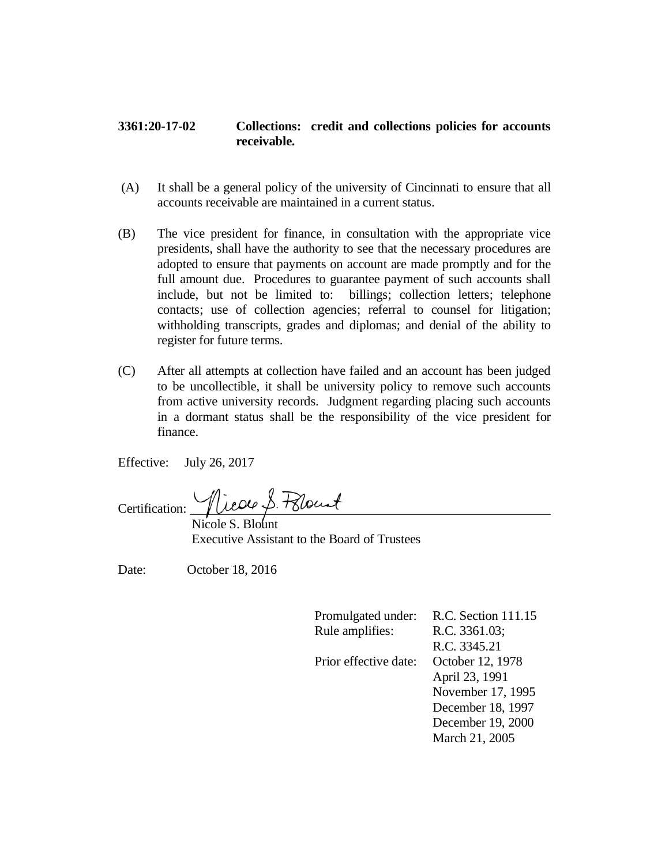## **3361:20-17-02 Collections: credit and collections policies for accounts receivable.**

- (A) It shall be a general policy of the university of Cincinnati to ensure that all accounts receivable are maintained in a current status.
- (B) The vice president for finance, in consultation with the appropriate vice presidents, shall have the authority to see that the necessary procedures are adopted to ensure that payments on account are made promptly and for the full amount due. Procedures to guarantee payment of such accounts shall include, but not be limited to: billings; collection letters; telephone contacts; use of collection agencies; referral to counsel for litigation; withholding transcripts, grades and diplomas; and denial of the ability to register for future terms.
- (C) After all attempts at collection have failed and an account has been judged to be uncollectible, it shall be university policy to remove such accounts from active university records. Judgment regarding placing such accounts in a dormant status shall be the responsibility of the vice president for finance.

Effective: July 26, 2017

Nicole S. Polount Certification:  $\overline{\phantom{a}}$ 

Nicole S. Blount Executive Assistant to the Board of Trustees

Date: October 18, 2016

| Promulgated under:    | R.C. Section 111.15 |
|-----------------------|---------------------|
| Rule amplifies:       | R.C. 3361.03;       |
|                       | R.C. 3345.21        |
| Prior effective date: | October 12, 1978    |
|                       | April 23, 1991      |
|                       | November 17, 1995   |
|                       | December 18, 1997   |
|                       | December 19, 2000   |
|                       | March 21, 2005      |
|                       |                     |